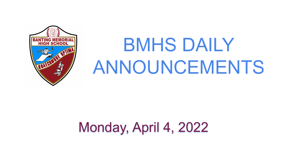

# BMHS DAILY ANNOUNCEMENTS

## Monday, April 4, 2022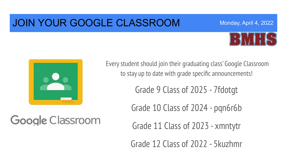### JOIN YOUR GOOGLE CLASSROOM



Monday, April 4, 2022



Google Classroom

Every student should join their graduating class' Google Classroom to stay up to date with grade specific announcements!

Grade 9 Class of 2025 - 7fdotgt

Grade 10 Class of 2024 - pqn6r6b

Grade 11 Class of 2023 - xmntytr

Grade 12 Class of 2022 - 5kuzhmr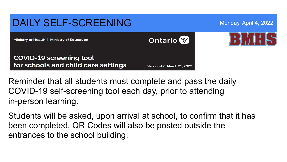

Reminder that all students must complete and pass the daily COVID-19 self-screening tool each day, prior to attending in-person learning.

Students will be asked, upon arrival at school, to confirm that it has been completed. QR Codes will also be posted outside the entrances to the school building.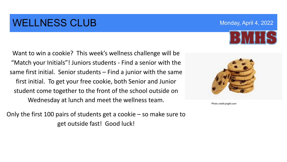### WELLNESS CLUB Monday, April 4, 2022

Want to win a cookie? This week's wellness challenge will be "Match your Initials"! Juniors students - Find a senior with the same first initial. Senior students – Find a junior with the same first initial. To get your free cookie, both Senior and Junior student come together to the front of the school outside on Wednesday at lunch and meet the wellness team.

Only the first 100 pairs of students get a cookie – so make sure to get outside fast! Good luck!



Photo credit:pngkit.com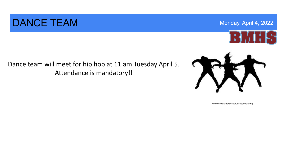#### DANCE TEAM MONDAY AND RESERVE THE SERVE TO A REPORT OF THE SERVE TO A REPORT OF THE MONDAY, April 4, 2022

Dance team will meet for hip hop at 11 am Tuesday April 5. Attendance is mandatory!!

Photo credit:hicksvillepublicschools.org





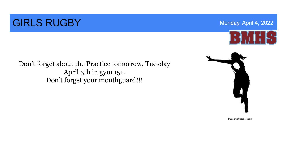### **GIRLS RUGBY** Monday, April 4, 2022



Don't forget about the Practice tomorrow, Tuesday April 5th in gym 151. Don't forget your mouthguard!!!



Photo credit:facebook.com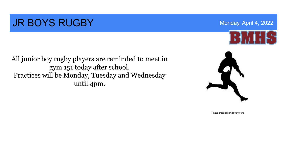### **JR BOYS RUGBY** Monday, April 4, 2022

All junior boy rugby players are reminded to meet in gym 151 today after school. Practices will be Monday, Tuesday and Wednesday until 4pm.



Photo credit:clipart-library.com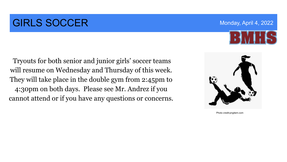### **GIRLS SOCCER** Monday, April 4, 2022

 Tryouts for both senior and junior girls' soccer teams will resume on Wednesday and Thursday of this week. They will take place in the double gym from 2:45pm to 4:30pm on both days. Please see Mr. Andrez if you cannot attend or if you have any questions or concerns.

Photo credit:pngitem.com



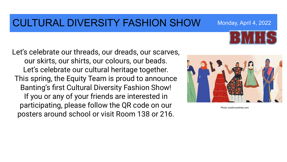#### CULTURAL DIVERSITY FASHION SHOW Monday, April 4, 2022

Let's celebrate our threads, our dreads, our scarves, our skirts, our shirts, our colours, our beads. Let's celebrate our cultural heritage together. This spring, the Equity Team is proud to announce Banting's first Cultural Diversity Fashion Show! If you or any of your friends are interested in participating, please follow the QR code on our posters around school or visit Room 138 or 216.



Photo credit:everbrite.com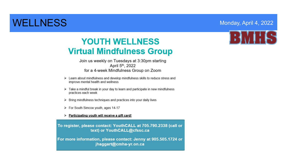#### WELLNESS **MONDAY, April 4, 2022**

#### **YOUTH WELLNESS Virtual Mindfulness Group**

Join us weekly on Tuesdays at 3:30pm starting April 5th, 2022 for a 4-week Mindfulness Group on Zoom

- > Learn about mindfulness and develop mindfulness skills to reduce stress and improve mental health and wellness
- $\triangleright$  Take a mindful break in your day to learn and participate in new mindfulness practices each week
- > Bring mindfulness techniques and practices into your daily lives
- > For South Simcoe youth, ages 14-17

#### > Participating youth will receive a gift card!

To register, please contact: YouthCALL at 705.790.2338 (call or text) or YouthCALL@cfssc.ca

For more information, please contact: Jenny at 905.505.1724 or jhaggart@cmha-yr.on.ca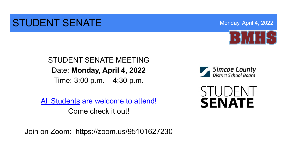#### STUDENT SENATE MONTANDUCTION And Monday, April 4, 2022



STUDENT SENATE MEETING Date: **Monday, April 4, 2022**  Time: 3:00 p.m. – 4:30 p.m.

All Students are welcome to attend! Come check it out!

Join on Zoom: https://zoom.us/95101627230



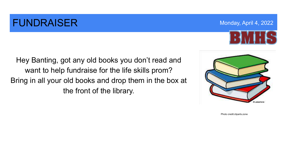### **FUNDRAISER** Monday, April 4, 2022

Hey Banting, got any old books you don't read and want to help fundraise for the life skills prom? Bring in all your old books and drop them in the box at the front of the library.



Photo credit:cliparts.zone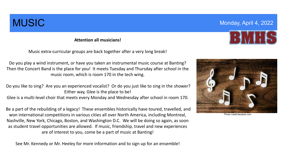**Attention all musicians!**

Music extra-curricular groups are back together after a very long break!

Do you play a wind instrument, or have you taken an instrumental music course at Banting? Then the Concert Band is the place for you! It meets Tuesday and Thursday after school in the music room, which is room 170 in the tech wing.

Do you like to sing? Are you an experienced vocalist? Or do you just like to sing in the shower? Either way, Glee is the place to be!

Glee is a multi-level choir that meets every Monday and Wednesday after school in room 170.

Be a part of the rebuilding of a legacy! These ensembles historically have toured, travelled, and won international competitions in various cities all over North America, including Montreal, Nashville, New York, Chicago, Boston, and Washington D.C. We will be doing so again, as soon as student travel opportunities are allowed. If music, friendship, travel and new experiences are of interest to you, come be a part of music at Banting!

See Mr. Kennedy or Mr. Heeley for more information and to sign up for an ensemble!



Photo credit:facebok.com